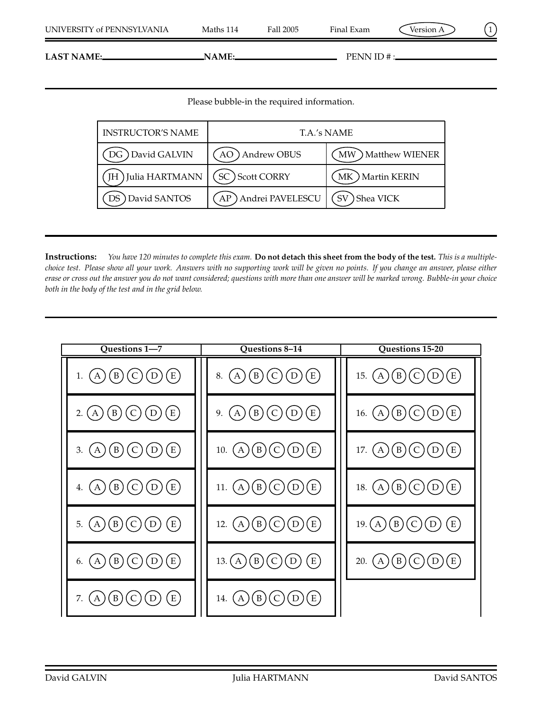**LAST NAME:** PENN ID #:

Please bubble-in the required information.

| <b>INSTRUCTOR'S NAME</b> | T.A.'s NAME              |                             |  |
|--------------------------|--------------------------|-----------------------------|--|
| DG David GALVIN          | Andrew OBUS              | <b>Matthew WIENER</b><br>MW |  |
| Julia HARTMANN           | SC) Scott CORRY          | MK ) Martin KERIN           |  |
| David SANTOS             | AP) Andrei PAVELESCU (SV | Shea VICK                   |  |

**Instructions:** *You have 120 minutes to complete this exam.* **Do not detach this sheet from the body of the test.** *This is a multiplechoice test. Please show all your work. Answers with no supporting work will be given no points. If you change an answer, please either erase or cross out the answer you do not want considered; questions with more than one answer will be marked wrong. Bubble-in your choice both in the body of the test and in the grid below.*

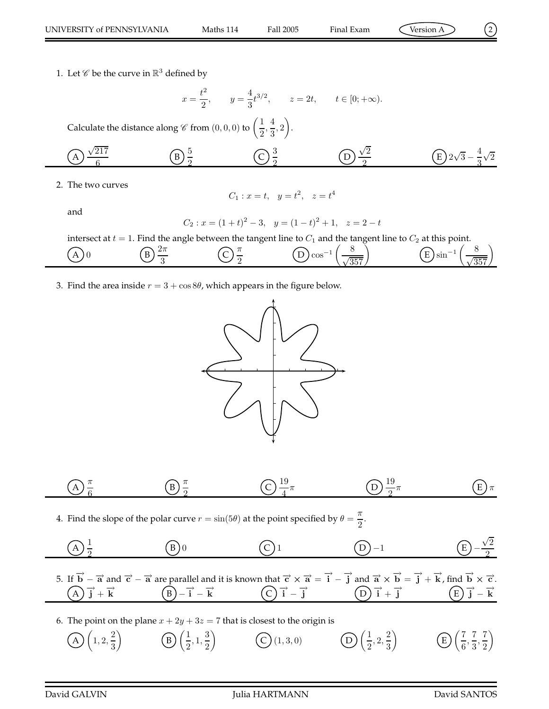1. Let  $\mathscr C$  be the curve in  $\mathbb R^3$  defined by

$$
x = \frac{t^2}{2}
$$
,  $y = \frac{4}{3}t^{3/2}$ ,  $z = 2t$ ,  $t \in [0; +\infty)$ .

Calculate the distance along  $\mathscr C$  from  $(0,0,0)$  to  $\left(\frac{1}{2}\right)$  $\frac{1}{2}, \frac{4}{3}$  $\frac{4}{3}, 2$ .

(A) 
$$
\frac{\sqrt{217}}{6}
$$
 (B)  $\frac{5}{2}$  (C)  $\frac{3}{2}$  (D)  $\frac{\sqrt{2}}{2}$  (E)  $2\sqrt{3} - \frac{4}{3}\sqrt{2}$ 

2. The two curves

and

$$
C_1: x = t, y = t^2, z = t^4
$$

$$
C_2: x = (1+t)^2 - 3
$$
,  $y = (1-t)^2 + 1$ ,  $z = 2-t$ 

intersect at  $t = 1$ . Find the angle between the tangent line to  $C_1$  and the tangent line to  $C_2$  at this point.

(A) 0   
 (B) 
$$
\frac{2\pi}{3}
$$
   
 (C)  $\frac{\pi}{2}$    
 (D)  $\cos^{-1}\left(\frac{8}{\sqrt{357}}\right)$    
 (E)  $\sin^{-1}\left(\frac{8}{\sqrt{357}}\right)$ 

3. Find the area inside  $r = 3 + \cos 8\theta$ , which appears in the figure below.



$$
\textcircled{A} \frac{\pi}{6} \qquad \textcircled{B} \frac{\pi}{2} \qquad \textcircled{C} \frac{19}{4} \pi \qquad \textcircled{D} \frac{19}{2} \pi \qquad \textcircled{E} \pi
$$

4. Find the slope of the polar curve  $r = \sin(5\theta)$  at the point specified by  $\theta = \frac{\pi}{2}$  $\frac{1}{2}$ .

(A) 
$$
\frac{1}{2}
$$
 (B) 0 (C) 1 (D) -1 (E)  $-\frac{\sqrt{2}}{2}$ 

5. If  $\overrightarrow{b} - \overrightarrow{a}$  and  $\overrightarrow{c} - \overrightarrow{a}$  are parallel and it is known that  $\overrightarrow{c} \times \overrightarrow{a} = \overrightarrow{i} - \overrightarrow{j}$  and  $\overrightarrow{a} \times \overrightarrow{b} = \overrightarrow{j} + \overrightarrow{k}$ , find  $\overrightarrow{b} \times \overrightarrow{c}$ .  $\overrightarrow{A}$   $\overrightarrow{j}$  +  $\overrightarrow{k}$   $\overrightarrow{B}$   $\overrightarrow{A}$   $\overrightarrow{C}$   $\overrightarrow{i}$   $\overrightarrow{j}$   $\overrightarrow{E}$   $\overrightarrow{C}$   $\overrightarrow{j}$   $\overrightarrow{k}$   $\overrightarrow{E}$   $\overrightarrow{C}$   $\overrightarrow{j}$   $\overrightarrow{k}$ 

6. The point on the plane  $x + 2y + 3z = 7$  that is closest to the origin is

$$
\textcircled{A}\left(1,2,\frac{2}{3}\right) \qquad \textcircled{B}\left(\frac{1}{2},1,\frac{3}{2}\right) \qquad \textcircled{C}\left(1,3,0\right) \qquad \textcircled{D}\left(\frac{1}{2},2,\frac{2}{3}\right) \qquad \textcircled{E}\left(\frac{7}{6},\frac{7}{3},\frac{7}{2}\right)
$$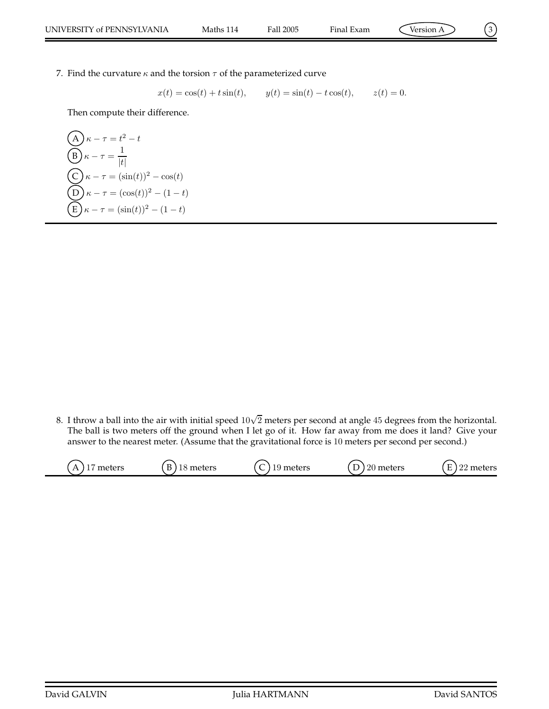$$
\bigcirc
$$

7. Find the curvature  $\kappa$  and the torsion  $\tau$  of the parameterized curve

$$
x(t) = \cos(t) + t \sin(t)
$$
,  $y(t) = \sin(t) - t \cos(t)$ ,  $z(t) = 0$ .

Then compute their difference.

$$
\begin{aligned}\n\text{(A)} \ \kappa - \tau &= t^2 - t \\
\text{(B)} \ \kappa - \tau &= \frac{1}{|t|} \\
\text{(C)} \ \kappa - \tau &= (\sin(t))^2 - \cos(t) \\
\text{(D)} \ \kappa - \tau &= (\cos(t))^2 - (1 - t) \\
\text{(E)} \ \kappa - \tau &= (\sin(t))^2 - (1 - t)\n\end{aligned}
$$

8. I throw a ball into the air with initial speed  $10\sqrt{2}$  meters per second at angle 45 degrees from the horizontal. The ball is two meters off the ground when I let go of it. How far away from me does it land? Give your answer to the nearest meter. (Assume that the gravitational force is 10 meters per second per second.)

| meters<br>$\lambda$<br>. . | meters | meters<br>⊥∙ | ഹ<br>meters<br>∠∪<br>◡ | $\Gamma$<br>$\Omega$<br>meters<br>E<br>∸ |
|----------------------------|--------|--------------|------------------------|------------------------------------------|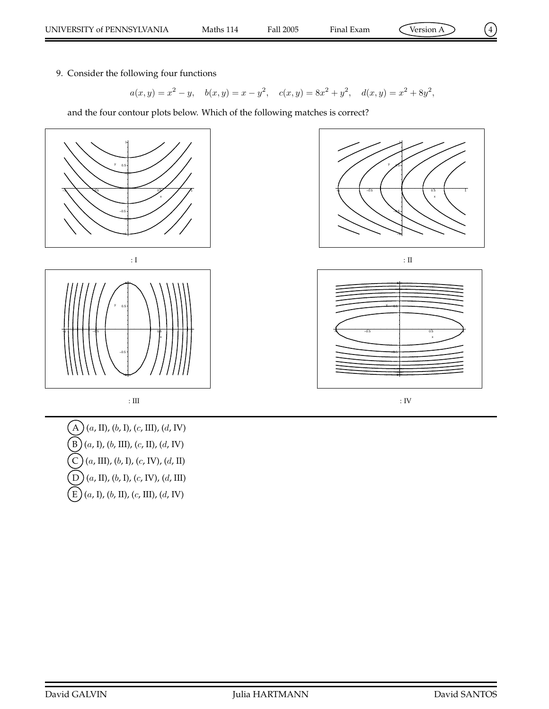9. Consider the following four functions

$$
a(x, y) = x2 - y
$$
,  $b(x, y) = x - y2$ ,  $c(x, y) = 8x2 + y2$ ,  $d(x, y) = x2 + 8y2$ ,

and the four contour plots below. Which of the following matches is correct?



 $(A)$   $(a, II)$ ,  $(b, I)$ ,  $(c, III)$ ,  $(d, IV)$  $(B)(a, I), (b, III), (c, II), (d, IV)$  $(C)$   $(a, \text{III})$ ,  $(b, \text{I})$ ,  $(c, \text{IV})$ ,  $(d, \text{II})$  $\left(D\right)$  (a, II), (b, I), (c, IV), (d, III)  $\left( E\right) (a, I), (b, II), (c, III), (d, IV)$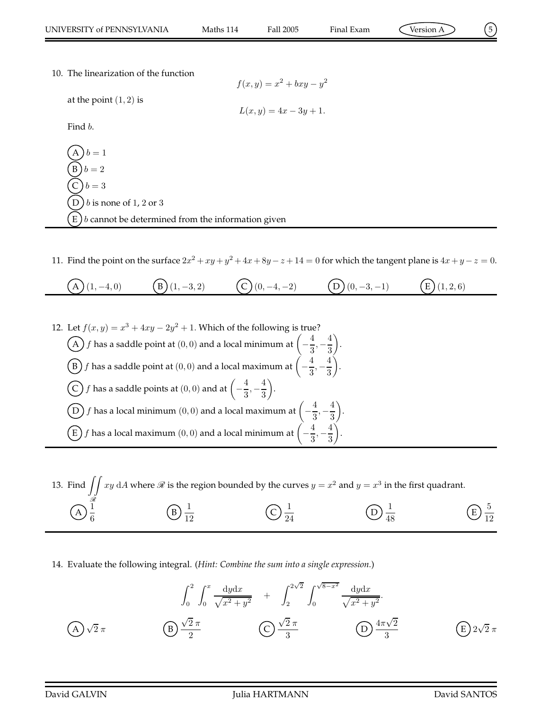$$
\mathcal{L}^{\text{max}}_{\text{max}}
$$

10. The linearization of the function

$$
f(x,y) = x^2 + bxy - y^2
$$

 $L(x, y) = 4x - 3y + 1.$ 

at the point 
$$
(1, 2)
$$
 is

Find b.

 $b=1$  $b = 2$  $b = 3$ D  $b$  is none of 1, 2 or 3  $E(b)$  cannot be determined from the information given

11. Find the point on the surface  $2x^2 + xy + y^2 + 4x + 8y - z + 14 = 0$  for which the tangent plane is  $4x + y - z = 0$ .

$$
(A) (1, -4, 0) \qquad (B) (1, -3, 2) \qquad (C) (0, -4, -2) \qquad (D) (0, -3, -1) \qquad (E) (1, 2, 6)
$$

12. Let  $f(x, y) = x^3 + 4xy - 2y^2 + 1$ . Which of the following is true?  $\widehat{A}\bigl) f$  has a saddle point at  $(0,0)$  and a local minimum at  $\Bigl( -1 \Bigr)$ 4  $\frac{4}{3}, -\frac{4}{3}$ 3 .  $\widehat{\mathrm{B}}$   $f$  has a saddle point at  $(0,0)$  and a local maximum at  $\Big(-1\Big)^2$ 4  $\frac{4}{3}, -\frac{4}{3}$ 3 .  $\bigodot f$  has a saddle points at  $(0,0)$  and at  $\Big(-1\Big)$ 4  $\frac{4}{3}, -\frac{4}{3}$ 3 .  $\overline{\mathrm{D}}$   $f$  has a local minimum  $(0,0)$  and a local maximum at  $\Big(-\Big)$ 4  $\frac{4}{3}, -\frac{4}{3}$ 3 .  $\widehat{\mathrm{E}}$   $f$  has a local maximum  $(0,0)$  and a local minimum at  $\Big(-1\Big)$ 4  $\frac{4}{3}, -\frac{4}{3}$ 3 .



14. Evaluate the following integral. (*Hint: Combine the sum into a single expression.*)

$$
\int_0^2 \int_0^x \frac{dydx}{\sqrt{x^2 + y^2}} + \int_2^{2\sqrt{2}} \int_0^{\sqrt{8-x^2}} \frac{dydx}{\sqrt{x^2 + y^2}}.
$$
\n
$$
(A) \sqrt{2} \pi
$$
\n
$$
(B) \frac{\sqrt{2} \pi}{2}
$$
\n
$$
(C) \frac{\sqrt{2} \pi}{3}
$$
\n
$$
(D) \frac{4\pi\sqrt{2}}{3}
$$
\n
$$
(E) 2\sqrt{2} \pi
$$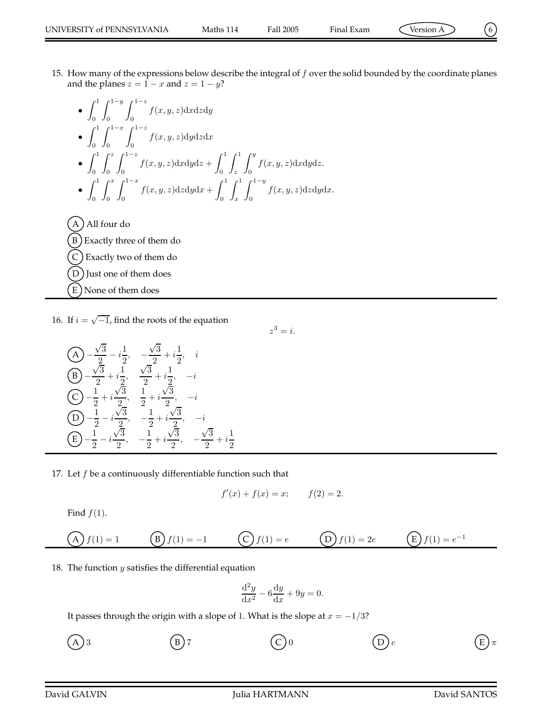• 
$$
\int_0^1 \int_0^{1-y} \int_0^{1-z} f(x, y, z) dxdzdy
$$
  
\n•  $\int_0^1 \int_0^{1-z} \int_0^{1-z} f(x, y, z) dxdzdx$   
\n•  $\int_0^1 \int_0^z \int_0^{1-z} f(x, y, z) dxdydz + \int_0^1 \int_z^1 \int_0^y f(x, y, z) dxdydz.$   
\n•  $\int_0^1 \int_0^x \int_0^{1-x} f(x, y, z) dzdydx + \int_0^1 \int_x^1 \int_0^{1-y} f(x, y, z) dzdydx.$   
\nA) All four do

B) Exactly three of them do  $(C)$  Exactly two of them do D) Just one of them does E ) None of them does

16. If  $i = \sqrt{-1}$ , find the roots of the equation

$$
\begin{array}{ll}\n\text{(A)} & -\frac{\sqrt{3}}{2} - i\frac{1}{2}, & -\frac{\sqrt{3}}{2} + i\frac{1}{2}, & i \\
\text{(B)} & -\frac{\sqrt{3}}{2} + i\frac{1}{2}, & \frac{\sqrt{3}}{2} + i\frac{1}{2}, & -i \\
\text{(C)} & -\frac{1}{2} + i\frac{\sqrt{3}}{2}, & \frac{1}{2} + i\frac{\sqrt{3}}{2}, & -i \\
\text{(D)} & -\frac{1}{2} - i\frac{\sqrt{3}}{2}, & -\frac{1}{2} + i\frac{\sqrt{3}}{2}, & -i \\
\text{(E)} & -\frac{1}{2} - i\frac{\sqrt{3}}{2}, & -\frac{1}{2} + i\frac{\sqrt{3}}{2}, & -\frac{\sqrt{3}}{2} + i\frac{1}{2}\n\end{array}
$$

17. Let  $f$  be a continuously differentiable function such that

$$
f'(x) + f(x) = x;
$$
  $f(2) = 2.$ 

 $z^3=i.$ 

Find  $f(1)$ .

$$
(A) f(1) = 1 \t (B) f(1) = -1 \t (C) f(1) = e \t (D) f(1) = 2e \t (E) f(1) = e^{-1}
$$

18. The function  $y$  satisfies the differential equation

$$
\frac{\mathrm{d}^2 y}{\mathrm{d}x^2} - 6\frac{\mathrm{d}y}{\mathrm{d}x} + 9y = 0.
$$

It passes through the origin with a slope of 1. What is the slope at  $x = -1/3$ ?

A  $)$  3  $(B)$  7  $(C)$  0  $(D)$   $(E)$   $\pi$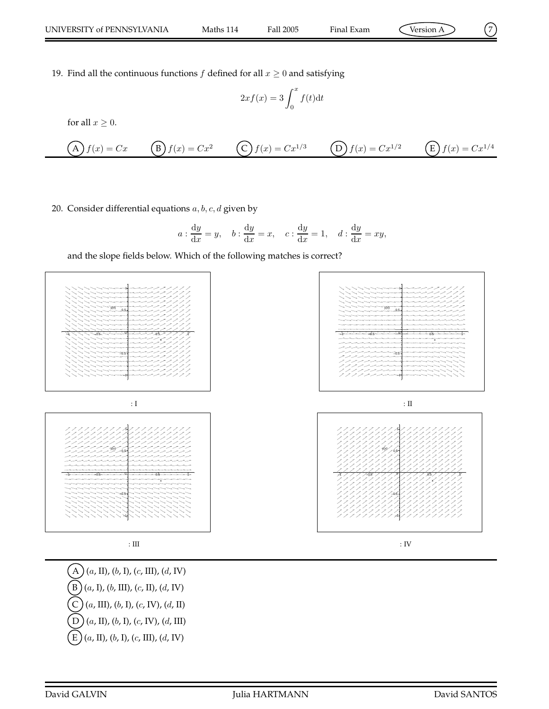$$
\mathcal{L} = \mathcal{L}
$$

19. Find all the continuous functions  $f$  defined for all  $x \geq 0$  and satisfying

$$
2xf(x) = 3\int_0^x f(t)dt
$$

for all  $x \geq 0$ .

$$
(A) f(x) = Cx \t (B) f(x) = Cx^2 \t (C) f(x) = Cx^{1/3} \t (D) f(x) = Cx^{1/2} \t (E) f(x) = Cx^{1/4}
$$

## 20. Consider differential equations  $a, b, c, d$  given by

$$
a: \frac{dy}{dx} = y
$$
,  $b: \frac{dy}{dx} = x$ ,  $c: \frac{dy}{dx} = 1$ ,  $d: \frac{dy}{dx} = xy$ ,

and the slope fields below. Which of the following matches is correct?



 $(A)$   $(a, \text{II})$ ,  $(b, \text{I})$ ,  $(c, \text{III})$ ,  $(d, \text{IV})$  $(B)$  (a, I), (b, III), (c, II), (d, IV)  $(C)$   $(a, \text{III})$ ,  $(b, \text{I})$ ,  $(c, \text{IV})$ ,  $(d, \text{II})$  $\left(D\right)$  (a, II), (b, I), (c, IV), (d, III)  $\left( \text{E} \right) (a, \text{II}), (b, \text{I}), (c, \text{III}), (d, \text{IV})$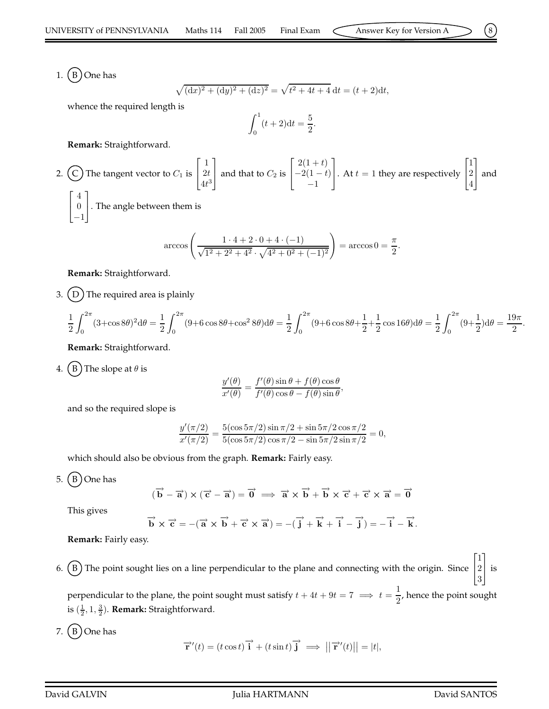1.  $(B)$  One has

$$
\sqrt{(dx)^2 + (dy)^2 + (dz)^2} = \sqrt{t^2 + 4t + 4} dt = (t + 2)dt,
$$

whence the required length is

$$
\int_0^1 (t+2) \mathrm{d}t = \frac{5}{2}.
$$

**Remark:** Straightforward.

2. (C) The tangent vector to 
$$
C_1
$$
 is  $\begin{bmatrix} 1 \\ 2t \\ 4t^3 \end{bmatrix}$  and that to  $C_2$  is  $\begin{bmatrix} 2(1+t) \\ -2(1-t) \\ -1 \end{bmatrix}$ . At  $t = 1$  they are respectively  $\begin{bmatrix} 1 \\ 2 \\ 4 \end{bmatrix}$  and  $\begin{bmatrix} 4 \\ 0 \\ -1 \end{bmatrix}$ . The angle between them is

$$
\arccos\left(\frac{1 \cdot 4 + 2 \cdot 0 + 4 \cdot (-1)}{\sqrt{1^2 + 2^2 + 4^2} \cdot \sqrt{4^2 + 0^2 + (-1)^2}}\right) = \arccos 0 = \frac{\pi}{2}
$$

.

**Remark:** Straightforward.

3.  $(D)$  The required area is plainly

$$
\frac{1}{2} \int_0^{2\pi} (3 + \cos 8\theta)^2 d\theta = \frac{1}{2} \int_0^{2\pi} (9 + 6 \cos 8\theta + \cos^2 8\theta) d\theta = \frac{1}{2} \int_0^{2\pi} (9 + 6 \cos 8\theta + \frac{1}{2} + \frac{1}{2} \cos 16\theta) d\theta = \frac{1}{2} \int_0^{2\pi} (9 + \frac{1}{2}) d\theta = \frac{19\pi}{2}
$$

**Remark:** Straightforward.

4. (B) The slope at  $\theta$  is

$$
\frac{y'(\theta)}{x'(\theta)} = \frac{f'(\theta)\sin\theta + f(\theta)\cos\theta}{f'(\theta)\cos\theta - f(\theta)\sin\theta},
$$

and so the required slope is

$$
\frac{y'(\pi/2)}{x'(\pi/2)} = \frac{5(\cos 5\pi/2) \sin \pi/2 + \sin 5\pi/2 \cos \pi/2}{5(\cos 5\pi/2) \cos \pi/2 - \sin 5\pi/2 \sin \pi/2} = 0,
$$

which should also be obvious from the graph. **Remark:** Fairly easy.

5.  $(B)$  One has

$$
(\overrightarrow{b} - \overrightarrow{a}) \times (\overrightarrow{c} - \overrightarrow{a}) = \overrightarrow{0} \implies \overrightarrow{a} \times \overrightarrow{b} + \overrightarrow{b} \times \overrightarrow{c} + \overrightarrow{c} \times \overrightarrow{a} = \overrightarrow{0}
$$

This gives

$$
\overrightarrow{b}\times\overrightarrow{c}=-(\overrightarrow{a}\times\overrightarrow{b}+\overrightarrow{c}\times\overrightarrow{a})=-(\overrightarrow{j}+\overrightarrow{k}+\overrightarrow{i}-\overrightarrow{j})=-\overrightarrow{i}-\overrightarrow{k}.
$$

**Remark:** Fairly easy.

6. B The point sought lies on a line perpendicular to the plane and connecting with the origin. Since  $\sqrt{ }$  $\overline{1}$ 1 2 3 1 is

perpendicular to the plane, the point sought must satisfy  $t+4t+9t=7 \implies t=\frac{1}{2}$  $\frac{1}{2}$ , hence the point sought is  $(\frac{1}{2}, 1, \frac{3}{2})$ . **Remark:** Straightforward.

7.  $(B)$  One has

$$
\overrightarrow{\mathbf{r}}'(t) = (t \cos t) \overrightarrow{\mathbf{i}} + (t \sin t) \overrightarrow{\mathbf{j}} \implies ||\overrightarrow{\mathbf{r}}'(t)|| = |t|,
$$

.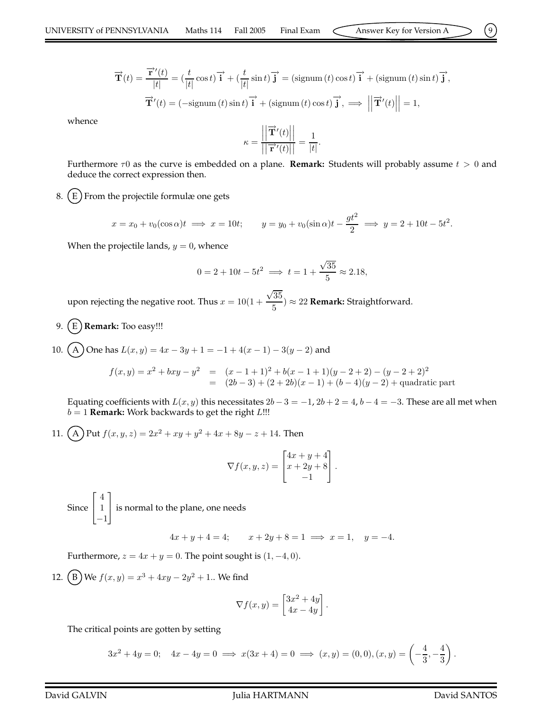$$
\overrightarrow{\mathbf{T}}(t) = \frac{\overrightarrow{\mathbf{r}}'(t)}{|t|} = \left(\frac{t}{|t|}\cos t\right)\overrightarrow{\mathbf{i}} + \left(\frac{t}{|t|}\sin t\right)\overrightarrow{\mathbf{j}} = \left(\text{signum } (t)\cos t\right)\overrightarrow{\mathbf{i}} + \left(\text{signum } (t)\sin t\right)\overrightarrow{\mathbf{j}},
$$

$$
\overrightarrow{\mathbf{T}}'(t) = \left(-\text{signum } (t)\sin t\right)\overrightarrow{\mathbf{i}} + \left(\text{signum } (t)\cos t\right)\overrightarrow{\mathbf{j}}, \implies \left|\left|\overrightarrow{\mathbf{T}}'(t)\right|\right| = 1,
$$

whence

$$
\kappa = \frac{\left\| \overrightarrow{\mathbf{T}}'(t) \right\|}{\left\| \overrightarrow{\mathbf{r}}'(t) \right\|} = \frac{1}{|t|}.
$$

Furthermore  $\tau$ 0 as the curve is embedded on a plane. **Remark:** Students will probably assume  $t > 0$  and deduce the correct expression then.

8.  $(E)$  From the projectile formulæ one gets

$$
x = x_0 + v_0(\cos \alpha)t \implies x = 10t; \qquad y = y_0 + v_0(\sin \alpha)t - \frac{gt^2}{2} \implies y = 2 + 10t - 5t^2.
$$

When the projectile lands,  $y = 0$ , whence

$$
0 = 2 + 10t - 5t^2 \implies t = 1 + \frac{\sqrt{35}}{5} \approx 2.18,
$$

upon rejecting the negative root. Thus  $x = 10(1 +$  $\sqrt{35}$  $\frac{35}{5}$ )  $\approx$  22 **Remark:** Straightforward.

9. **(E) Remark:** Too easy!!!

10. A One has  $L(x, y) = 4x - 3y + 1 = -1 + 4(x - 1) - 3(y - 2)$  and

$$
f(x,y) = x^2 + bxy - y^2 = (x - 1 + 1)^2 + b(x - 1 + 1)(y - 2 + 2) - (y - 2 + 2)^2
$$
  
= (2b - 3) + (2 + 2b)(x - 1) + (b - 4)(y - 2) + quadratic part

Equating coefficients with  $L(x, y)$  this necessitates  $2b - 3 = -1$ ,  $2b + 2 = 4$ ,  $b - 4 = -3$ . These are all met when  $b = 1$  **Remark:** Work backwards to get the right  $L$ !!!

11. (A) Put  $f(x, y, z) = 2x^2 + xy + y^2 + 4x + 8y - z + 14$ . Then  $\sqrt{ }$ 

$$
\nabla f(x, y, z) = \begin{bmatrix} 4x + y + 4 \\ x + 2y + 8 \\ -1 \end{bmatrix}.
$$

Since  $\sqrt{ }$  $\overline{1}$ 4 1 −1 1 is normal to the plane, one needs

$$
4x + y + 4 = 4; \qquad x + 2y + 8 = 1 \implies x = 1, \quad y = -4.
$$

Furthermore,  $z = 4x + y = 0$ . The point sought is  $(1, -4, 0)$ .

12. (B) We  $f(x, y) = x^3 + 4xy - 2y^2 + 1$ .. We find

$$
\nabla f(x,y) = \begin{bmatrix} 3x^2 + 4y \\ 4x - 4y \end{bmatrix}.
$$

The critical points are gotten by setting

$$
3x^2 + 4y = 0; \quad 4x - 4y = 0 \implies x(3x + 4) = 0 \implies (x, y) = (0, 0), (x, y) = \left(-\frac{4}{3}, -\frac{4}{3}\right).
$$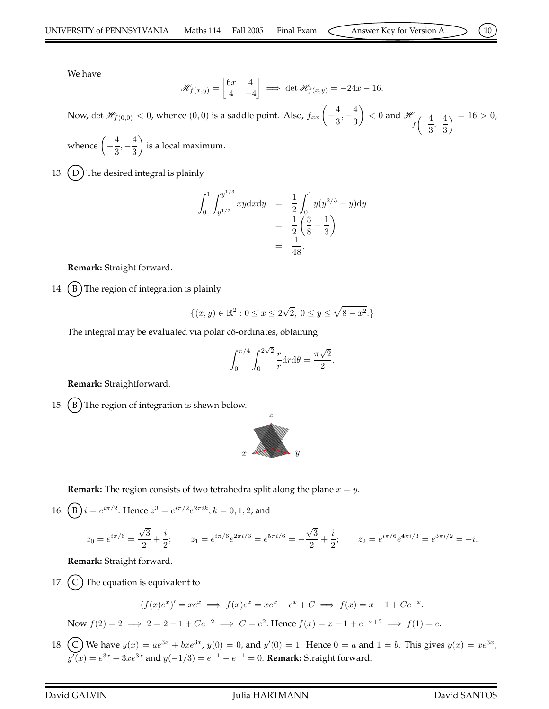We have

$$
\mathscr{H}_{f(x,y)} = \begin{bmatrix} 6x & 4 \\ 4 & -4 \end{bmatrix} \implies \det \mathscr{H}_{f(x,y)} = -24x - 16.
$$

Now,  $\det \mathscr{H}_{f(0,0)} < 0$ , whence  $(0,0)$  is a saddle point. Also,  $f_{xx}\left(-\right)$ 4  $\frac{4}{3}, -\frac{4}{3}$ 3  $\Big) < 0$  and  $\mathscr H$  $\int f$ − 4  $\overline{3}$ <sup>,-</sup> 4 3  $\lambda = 16 > 0,$ 

whence  $\Big(-\Big)^2$ 4  $\frac{4}{3}, -\frac{4}{3}$ 3 is a local maximum.

13.  $(D)$  The desired integral is plainly

$$
\int_0^1 \int_{y^{1/2}}^{y^{1/3}} xy \, dx \, dy = \frac{1}{2} \int_0^1 y(y^{2/3} - y) \, dy
$$
\n
$$
= \frac{1}{2} \left( \frac{3}{8} - \frac{1}{3} \right)
$$
\n
$$
= \frac{1}{48}.
$$

**Remark:** Straight forward.

14.  $(B)$  The region of integration is plainly

$$
\{(x,y)\in \mathbb{R}^2: 0\leq x\leq 2\sqrt{2}, \ 0\leq y\leq \sqrt{8-x^2}.\}
$$

The integral may be evaluated via polar cö-ordinates, obtaining

$$
\int_0^{\pi/4} \int_0^{2\sqrt{2}} \frac{r}{r} dr d\theta = \frac{\pi\sqrt{2}}{2}.
$$

**Remark:** Straightforward.

15.  $(B)$  The region of integration is shewn below.



**Remark:** The region consists of two tetrahedra split along the plane  $x = y$ .

16.  $(B) i = e^{i\pi/2}$ . Hence  $z^3 = e^{i\pi/2} e^{2\pi i k}$ ,  $k = 0, 1, 2$ , and

$$
z_0 = e^{i\pi/6} = \frac{\sqrt{3}}{2} + \frac{i}{2}; \qquad z_1 = e^{i\pi/6}e^{2\pi i/3} = e^{5\pi i/6} = -\frac{\sqrt{3}}{2} + \frac{i}{2}; \qquad z_2 = e^{i\pi/6}e^{4\pi i/3} = e^{3\pi i/2} = -i.
$$

**Remark:** Straight forward.

17.  $(C)$  The equation is equivalent to

$$
(f(x)e^x)' = xe^x \implies f(x)e^x = xe^x - e^x + C \implies f(x) = x - 1 + Ce^{-x}.
$$
  
Now  $f(2) = 2 \implies 2 = 2 - 1 + Ce^{-2} \implies C = e^2$ . Hence  $f(x) = x - 1 + e^{-x+2} \implies f(1) = e$ .

18. (C) We have  $y(x) = ae^{3x} + bxe^{3x}$ ,  $y(0) = 0$ , and  $y'(0) = 1$ . Hence  $0 = a$  and  $1 = b$ . This gives  $y(x) = xe^{3x}$ ,  $y'(x) = e^{3x} + 3xe^{3x}$  and  $y(-1/3) = e^{-1} - e^{-1} = 0$ . **Remark:** Straight forward.